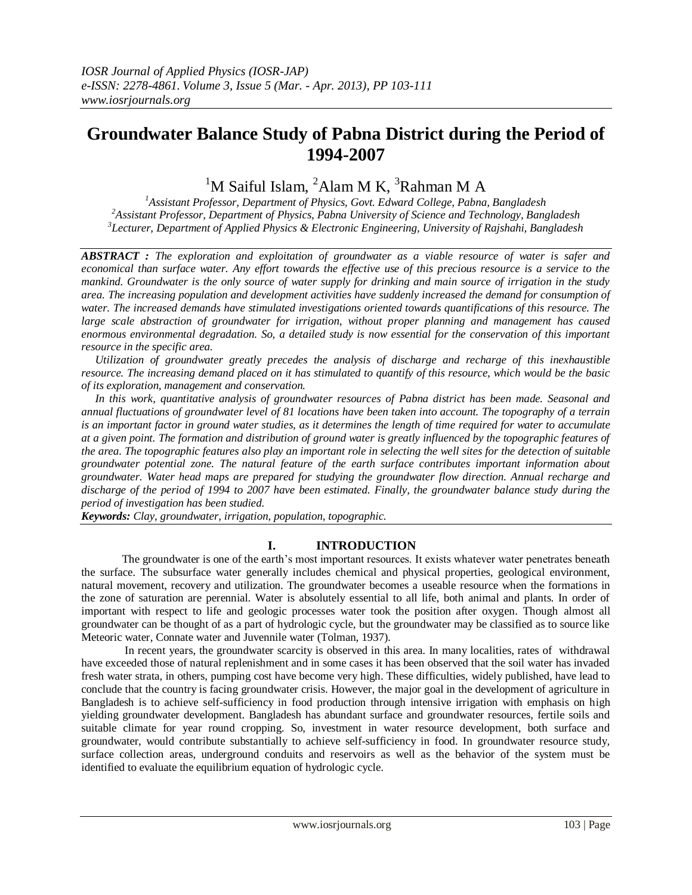# **Groundwater Balance Study of Pabna District during the Period of 1994-2007**

 $1$ M Saiful Islam,  $2$ Alam M K,  $3$ Rahman M A

*<sup>1</sup>Assistant Professor, Department of Physics, Govt. Edward College, Pabna, Bangladesh <sup>2</sup>Assistant Professor, Department of Physics, Pabna University of Science and Technology, Bangladesh 3 Lecturer, Department of Applied Physics & Electronic Engineering, University of Rajshahi, Bangladesh*

*ABSTRACT : The exploration and exploitation of groundwater as a viable resource of water is safer and economical than surface water. Any effort towards the effective use of this precious resource is a service to the mankind. Groundwater is the only source of water supply for drinking and main source of irrigation in the study area. The increasing population and development activities have suddenly increased the demand for consumption of*  water. The increased demands have stimulated investigations oriented towards quantifications of this resource. The *large scale abstraction of groundwater for irrigation, without proper planning and management has caused enormous environmental degradation. So, a detailed study is now essential for the conservation of this important resource in the specific area.*

 *Utilization of groundwater greatly precedes the analysis of discharge and recharge of this inexhaustible resource. The increasing demand placed on it has stimulated to quantify of this resource, which would be the basic of its exploration, management and conservation.*

 *In this work, quantitative analysis of groundwater resources of Pabna district has been made. Seasonal and annual fluctuations of groundwater level of 81 locations have been taken into account. The topography of a terrain is an important factor in ground water studies, as it determines the length of time required for water to accumulate at a given point. The formation and distribution of ground water is greatly influenced by the topographic features of the area. The topographic features also play an important role in selecting the well sites for the detection of suitable groundwater potential zone. The natural feature of the earth surface contributes important information about groundwater. Water head maps are prepared for studying the groundwater flow direction. Annual recharge and discharge of the period of 1994 to 2007 have been estimated. Finally, the groundwater balance study during the period of investigation has been studied.* 

*Keywords: Clay, groundwater, irrigation, population, topographic.*

# **I. INTRODUCTION**

The groundwater is one of the earth's most important resources. It exists whatever water penetrates beneath the surface. The subsurface water generally includes chemical and physical properties, geological environment, natural movement, recovery and utilization. The groundwater becomes a useable resource when the formations in the zone of saturation are perennial. Water is absolutely essential to all life, both animal and plants. In order of important with respect to life and geologic processes water took the position after oxygen. Though almost all groundwater can be thought of as a part of hydrologic cycle, but the groundwater may be classified as to source like Meteoric water, Connate water and Juvennile water (Tolman, 1937).

 In recent years, the groundwater scarcity is observed in this area. In many localities, rates of withdrawal have exceeded those of natural replenishment and in some cases it has been observed that the soil water has invaded fresh water strata, in others, pumping cost have become very high. These difficulties, widely published, have lead to conclude that the country is facing groundwater crisis. However, the major goal in the development of agriculture in Bangladesh is to achieve self-sufficiency in food production through intensive irrigation with emphasis on high yielding groundwater development. Bangladesh has abundant surface and groundwater resources, fertile soils and suitable climate for year round cropping. So, investment in water resource development, both surface and groundwater, would contribute substantially to achieve self-sufficiency in food. In groundwater resource study, surface collection areas, underground conduits and reservoirs as well as the behavior of the system must be identified to evaluate the equilibrium equation of hydrologic cycle.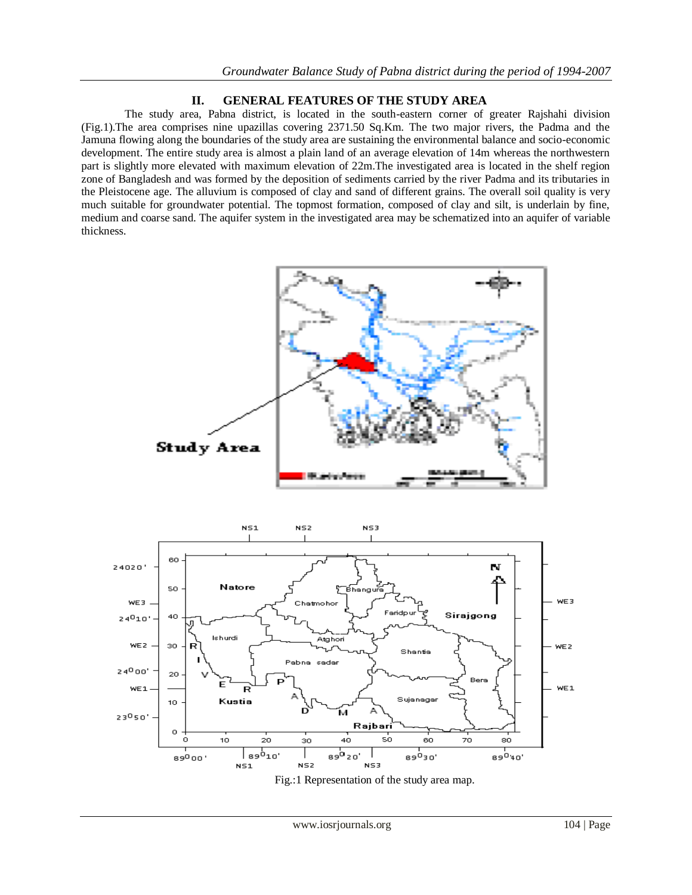## **II. GENERAL FEATURES OF THE STUDY AREA**

 The study area, Pabna district, is located in the south-eastern corner of greater Rajshahi division (Fig.1).The area comprises nine upazillas covering 2371.50 Sq.Km. The two major rivers, the Padma and the Jamuna flowing along the boundaries of the study area are sustaining the environmental balance and socio-economic development. The entire study area is almost a plain land of an average elevation of 14m whereas the northwestern part is slightly more elevated with maximum elevation of 22m.The investigated area is located in the shelf region zone of Bangladesh and was formed by the deposition of sediments carried by the river Padma and its tributaries in the Pleistocene age. The alluvium is composed of clay and sand of different grains. The overall soil quality is very much suitable for groundwater potential. The topmost formation, composed of clay and silt, is underlain by fine, medium and coarse sand. The aquifer system in the investigated area may be schematized into an aquifer of variable thickness.



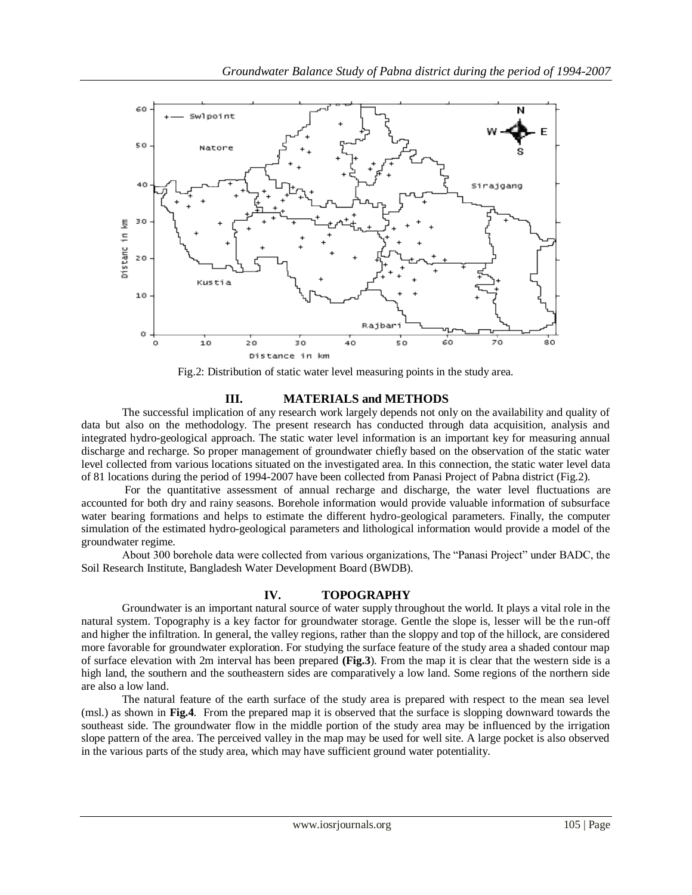

Fig.2: Distribution of static water level measuring points in the study area.

# **III. MATERIALS and METHODS**

The successful implication of any research work largely depends not only on the availability and quality of data but also on the methodology. The present research has conducted through data acquisition, analysis and integrated hydro-geological approach. The static water level information is an important key for measuring annual discharge and recharge. So proper management of groundwater chiefly based on the observation of the static water level collected from various locations situated on the investigated area. In this connection, the static water level data of 81 locations during the period of 1994-2007 have been collected from Panasi Project of Pabna district (Fig.2).

 For the quantitative assessment of annual recharge and discharge, the water level fluctuations are accounted for both dry and rainy seasons. Borehole information would provide valuable information of subsurface water bearing formations and helps to estimate the different hydro-geological parameters. Finally, the computer simulation of the estimated hydro-geological parameters and lithological information would provide a model of the groundwater regime.

 About 300 borehole data were collected from various organizations, The "Panasi Project" under BADC, the Soil Research Institute, Bangladesh Water Development Board (BWDB).

## **IV. TOPOGRAPHY**

Groundwater is an important natural source of water supply throughout the world. It plays a vital role in the natural system. Topography is a key factor for groundwater storage. Gentle the slope is, lesser will be the run-off and higher the infiltration. In general, the valley regions, rather than the sloppy and top of the hillock, are considered more favorable for groundwater exploration. For studying the surface feature of the study area a shaded contour map of surface elevation with 2m interval has been prepared **(Fig.3**). From the map it is clear that the western side is a high land, the southern and the southeastern sides are comparatively a low land. Some regions of the northern side are also a low land.

The natural feature of the earth surface of the study area is prepared with respect to the mean sea level (msl.) as shown in **Fig.4**. From the prepared map it is observed that the surface is slopping downward towards the southeast side. The groundwater flow in the middle portion of the study area may be influenced by the irrigation slope pattern of the area. The perceived valley in the map may be used for well site. A large pocket is also observed in the various parts of the study area, which may have sufficient ground water potentiality.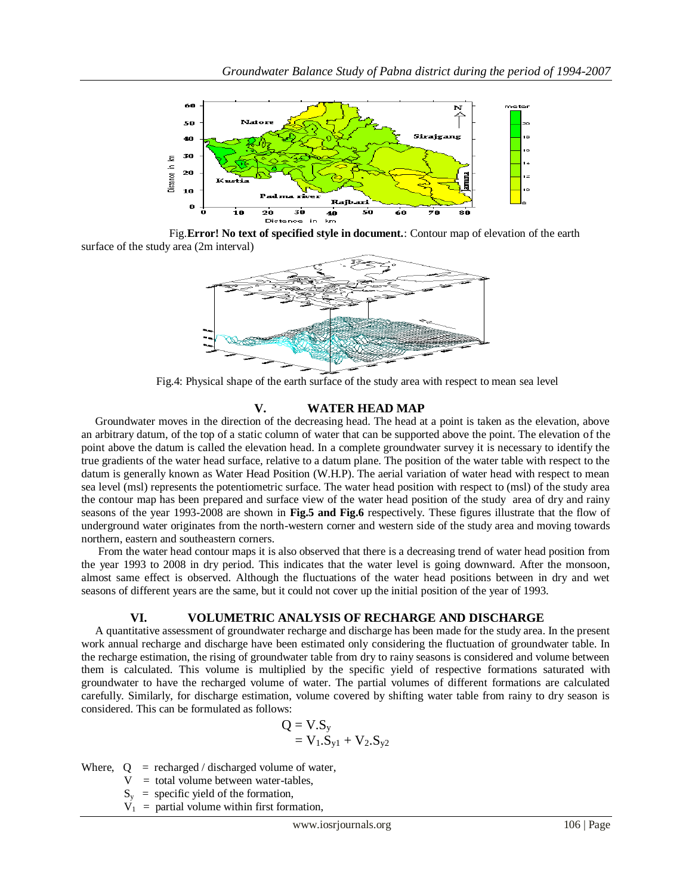

 Fig.**Error! No text of specified style in document.**: Contour map of elevation of the earth surface of the study area (2m interval)



Fig.4: Physical shape of the earth surface of the study area with respect to mean sea level

## **V. WATER HEAD MAP**

 Groundwater moves in the direction of the decreasing head. The head at a point is taken as the elevation, above an arbitrary datum, of the top of a static column of water that can be supported above the point. The elevation of the point above the datum is called the elevation head. In a complete groundwater survey it is necessary to identify the true gradients of the water head surface, relative to a datum plane. The position of the water table with respect to the datum is generally known as Water Head Position (W.H.P). The aerial variation of water head with respect to mean sea level (msl) represents the potentiometric surface. The water head position with respect to (msl) of the study area the contour map has been prepared and surface view of the water head position of the study area of dry and rainy seasons of the year 1993-2008 are shown in **Fig.5 and Fig.6** respectively. These figures illustrate that the flow of underground water originates from the north-western corner and western side of the study area and moving towards northern, eastern and southeastern corners.

 From the water head contour maps it is also observed that there is a decreasing trend of water head position from the year 1993 to 2008 in dry period. This indicates that the water level is going downward. After the monsoon, almost same effect is observed. Although the fluctuations of the water head positions between in dry and wet seasons of different years are the same, but it could not cover up the initial position of the year of 1993.

## **VI. VOLUMETRIC ANALYSIS OF RECHARGE AND DISCHARGE**

 A quantitative assessment of groundwater recharge and discharge has been made for the study area. In the present work annual recharge and discharge have been estimated only considering the fluctuation of groundwater table. In the recharge estimation, the rising of groundwater table from dry to rainy seasons is considered and volume between them is calculated. This volume is multiplied by the specific yield of respective formations saturated with groundwater to have the recharged volume of water. The partial volumes of different formations are calculated carefully. Similarly, for discharge estimation, volume covered by shifting water table from rainy to dry season is considered. This can be formulated as follows:

$$
Q = V.S_y
$$
  
= V<sub>1</sub>.S<sub>y1</sub> + V<sub>2</sub>.S<sub>y2</sub>

Where,  $Q = \text{recharged}/\text{discharged volume of water}$ ,

 $V =$  total volume between water-tables,

 $S_y$  = specific yield of the formation,

 $V_1$  = partial volume within first formation,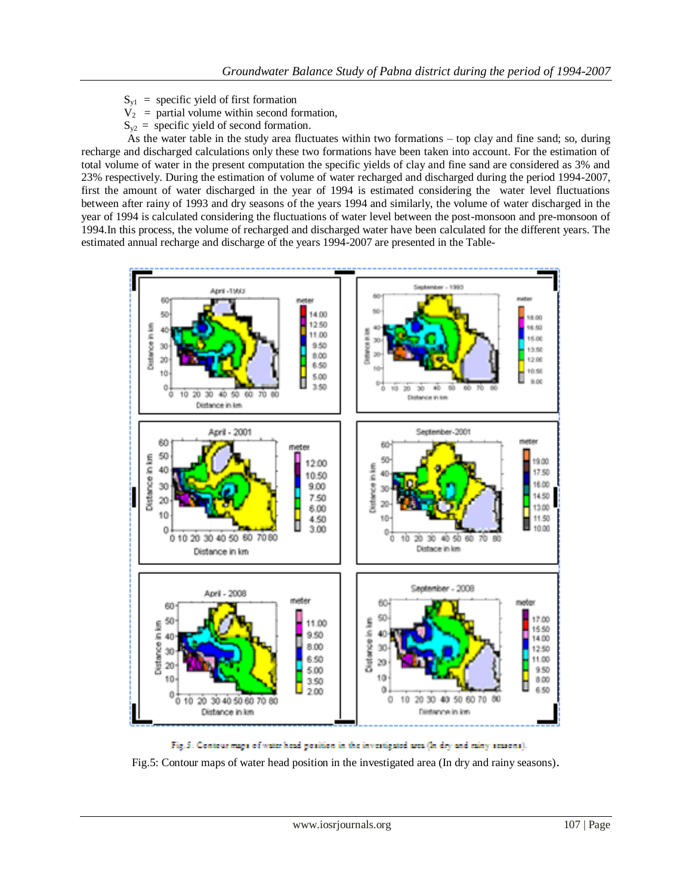- $S_{v1}$  = specific yield of first formation
- $V_2$  = partial volume within second formation,
- $S_{v2}$  = specific yield of second formation.

 As the water table in the study area fluctuates within two formations – top clay and fine sand; so, during recharge and discharged calculations only these two formations have been taken into account. For the estimation of total volume of water in the present computation the specific yields of clay and fine sand are considered as 3% and 23% respectively. During the estimation of volume of water recharged and discharged during the period 1994-2007, first the amount of water discharged in the year of 1994 is estimated considering the water level fluctuations between after rainy of 1993 and dry seasons of the years 1994 and similarly, the volume of water discharged in the year of 1994 is calculated considering the fluctuations of water level between the post-monsoon and pre-monsoon of 1994.In this process, the volume of recharged and discharged water have been calculated for the different years. The estimated annual recharge and discharge of the years 1994-2007 are presented in the Table-



Fig.5: Contour maps of water head position in the investigated area (In dry and miny seasons).

Fig.5: Contour maps of water head position in the investigated area (In dry and rainy seasons).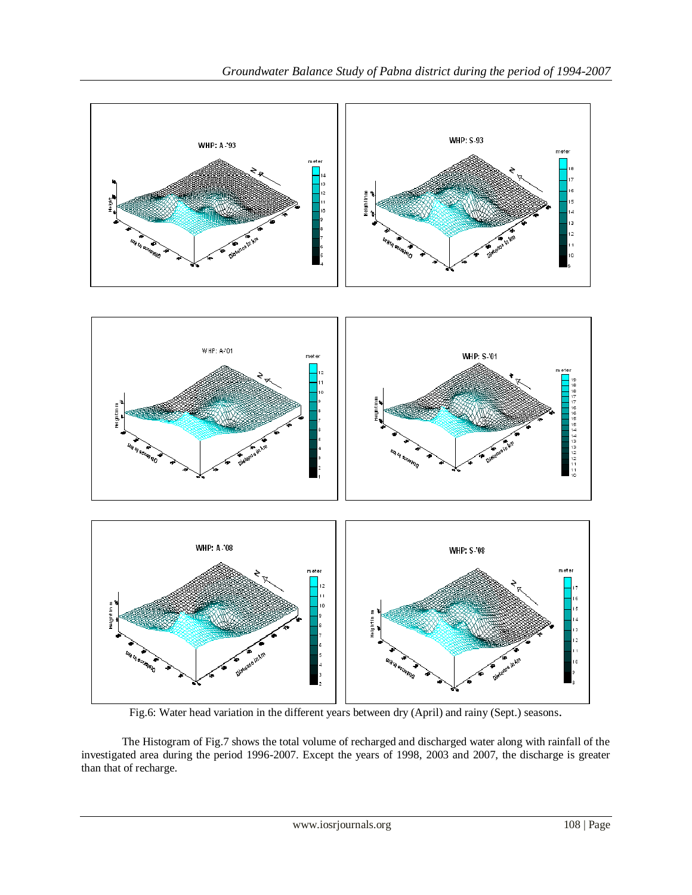

Fig.6: Water head variation in the different years between dry (April) and rainy (Sept.) seasons.

The Histogram of Fig.7 shows the total volume of recharged and discharged water along with rainfall of the investigated area during the period 1996-2007. Except the years of 1998, 2003 and 2007, the discharge is greater than that of recharge.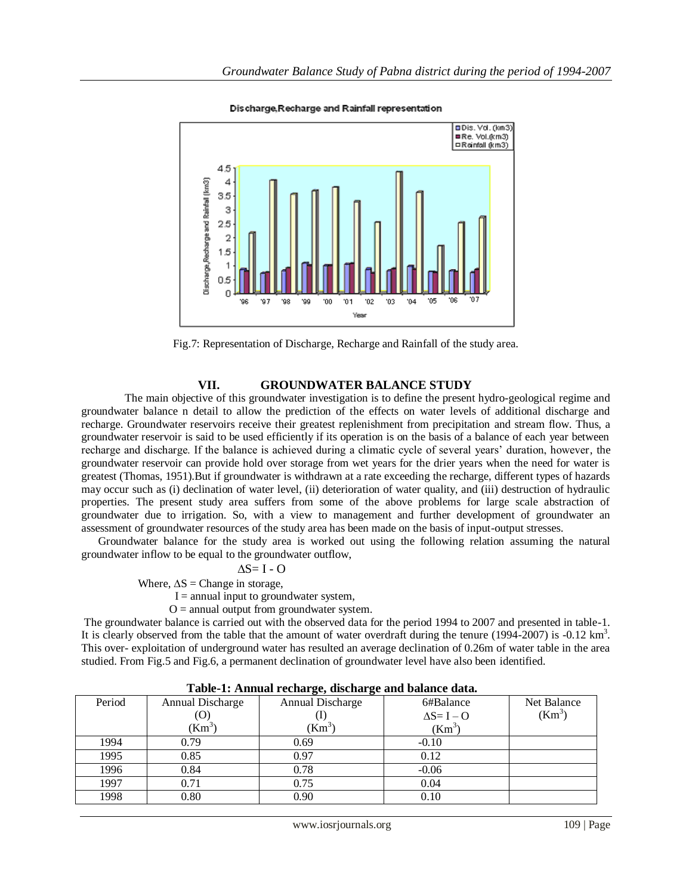

#### Discharge Recharge and Rainfall representation



## **VII. GROUNDWATER BALANCE STUDY**

The main objective of this groundwater investigation is to define the present hydro-geological regime and groundwater balance n detail to allow the prediction of the effects on water levels of additional discharge and recharge. Groundwater reservoirs receive their greatest replenishment from precipitation and stream flow. Thus, a groundwater reservoir is said to be used efficiently if its operation is on the basis of a balance of each year between recharge and discharge. If the balance is achieved during a climatic cycle of several years" duration, however, the groundwater reservoir can provide hold over storage from wet years for the drier years when the need for water is greatest (Thomas, 1951).But if groundwater is withdrawn at a rate exceeding the recharge, different types of hazards may occur such as (i) declination of water level, (ii) deterioration of water quality, and (iii) destruction of hydraulic properties. The present study area suffers from some of the above problems for large scale abstraction of groundwater due to irrigation. So, with a view to management and further development of groundwater an assessment of groundwater resources of the study area has been made on the basis of input-output stresses.

 Groundwater balance for the study area is worked out using the following relation assuming the natural groundwater inflow to be equal to the groundwater outflow,

### $\Delta S = I - O$

Where,  $\Delta S$  = Change in storage,

 $I =$  annual input to groundwater system,

 $O =$  annual output from groundwater system.

The groundwater balance is carried out with the observed data for the period 1994 to 2007 and presented in table-1. It is clearly observed from the table that the amount of water overdraft during the tenure (1994-2007) is -0.12 km<sup>3</sup>. This over- exploitation of underground water has resulted an average declination of 0.26m of water table in the area studied. From Fig.5 and Fig.6, a permanent declination of groundwater level have also been identified.

| Table 1: Annual Feenarge, ubenurge and balance data. |                  |                  |                    |             |  |  |
|------------------------------------------------------|------------------|------------------|--------------------|-------------|--|--|
| Period                                               | Annual Discharge | Annual Discharge | 6#Balance          | Net Balance |  |  |
|                                                      | (O)              |                  | $\Delta S = I - O$ | $(Km^3)$    |  |  |
|                                                      | $(Km^3)$         | $(Km^3)$         | $(Km^3)$           |             |  |  |
| 1994                                                 | 0.79             | 0.69             | $-0.10$            |             |  |  |
| 1995                                                 | 0.85             | 0.97             | 0.12               |             |  |  |
| 1996                                                 | 0.84             | 0.78             | $-0.06$            |             |  |  |
| 1997                                                 | 0.71             | 0.75             | 0.04               |             |  |  |
| 1998                                                 | 0.80             | 0.90             | 0.10               |             |  |  |

**Table-1: Annual recharge, discharge and balance data.**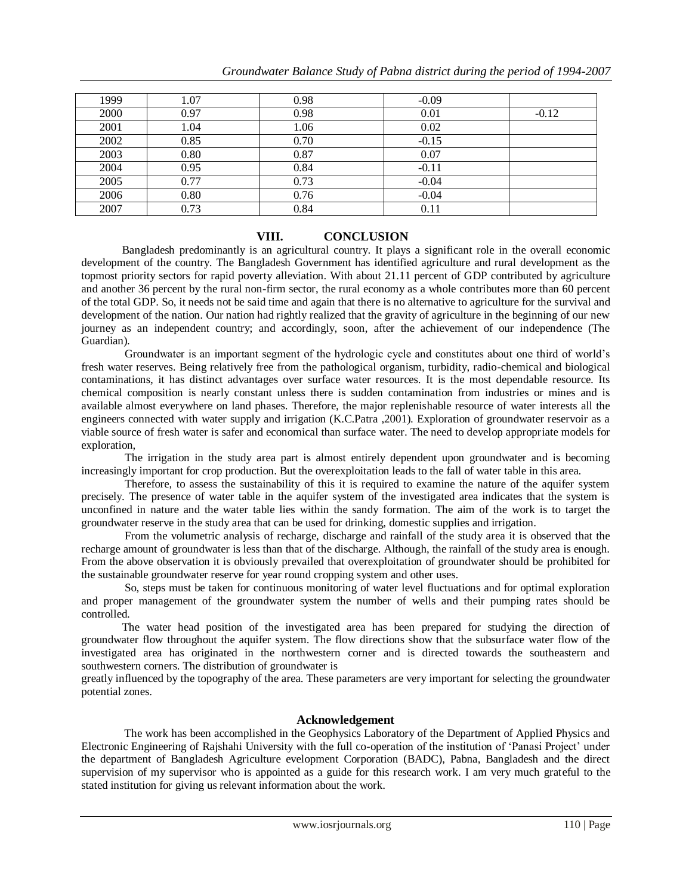| 1999 | 1.07 | 0.98 | $-0.09$ |         |
|------|------|------|---------|---------|
| 2000 | 0.97 | 0.98 | 0.01    | $-0.12$ |
| 2001 | 1.04 | 1.06 | 0.02    |         |
| 2002 | 0.85 | 0.70 | $-0.15$ |         |
| 2003 | 0.80 | 0.87 | 0.07    |         |
| 2004 | 0.95 | 0.84 | $-0.11$ |         |
| 2005 | 0.77 | 0.73 | $-0.04$ |         |
| 2006 | 0.80 | 0.76 | $-0.04$ |         |
| 2007 | 0.73 | 0.84 | 0.11    |         |

# **VIII. CONCLUSION**

 Bangladesh predominantly is an agricultural country. It plays a significant role in the overall economic development of the country. The Bangladesh Government has identified agriculture and rural development as the topmost priority sectors for rapid poverty alleviation. With about 21.11 percent of GDP contributed by agriculture and another 36 percent by the rural non-firm sector, the rural economy as a whole contributes more than 60 percent of the total GDP. So, it needs not be said time and again that there is no alternative to agriculture for the survival and development of the nation. Our nation had rightly realized that the gravity of agriculture in the beginning of our new journey as an independent country; and accordingly, soon, after the achievement of our independence (The Guardian).

 Groundwater is an important segment of the hydrologic cycle and constitutes about one third of world"s fresh water reserves. Being relatively free from the pathological organism, turbidity, radio-chemical and biological contaminations, it has distinct advantages over surface water resources. It is the most dependable resource. Its chemical composition is nearly constant unless there is sudden contamination from industries or mines and is available almost everywhere on land phases. Therefore, the major replenishable resource of water interests all the engineers connected with water supply and irrigation (K.C.Patra ,2001). Exploration of groundwater reservoir as a viable source of fresh water is safer and economical than surface water. The need to develop appropriate models for exploration,

 The irrigation in the study area part is almost entirely dependent upon groundwater and is becoming increasingly important for crop production. But the overexploitation leads to the fall of water table in this area.

 Therefore, to assess the sustainability of this it is required to examine the nature of the aquifer system precisely. The presence of water table in the aquifer system of the investigated area indicates that the system is unconfined in nature and the water table lies within the sandy formation. The aim of the work is to target the groundwater reserve in the study area that can be used for drinking, domestic supplies and irrigation.

 From the volumetric analysis of recharge, discharge and rainfall of the study area it is observed that the recharge amount of groundwater is less than that of the discharge. Although, the rainfall of the study area is enough. From the above observation it is obviously prevailed that overexploitation of groundwater should be prohibited for the sustainable groundwater reserve for year round cropping system and other uses.

 So, steps must be taken for continuous monitoring of water level fluctuations and for optimal exploration and proper management of the groundwater system the number of wells and their pumping rates should be controlled.

 The water head position of the investigated area has been prepared for studying the direction of groundwater flow throughout the aquifer system. The flow directions show that the subsurface water flow of the investigated area has originated in the northwestern corner and is directed towards the southeastern and southwestern corners. The distribution of groundwater is

greatly influenced by the topography of the area. These parameters are very important for selecting the groundwater potential zones.

## **Acknowledgement**

 The work has been accomplished in the Geophysics Laboratory of the Department of Applied Physics and Electronic Engineering of Rajshahi University with the full co-operation of the institution of "Panasi Project" under the department of Bangladesh Agriculture evelopment Corporation (BADC), Pabna, Bangladesh and the direct supervision of my supervisor who is appointed as a guide for this research work. I am very much grateful to the stated institution for giving us relevant information about the work.